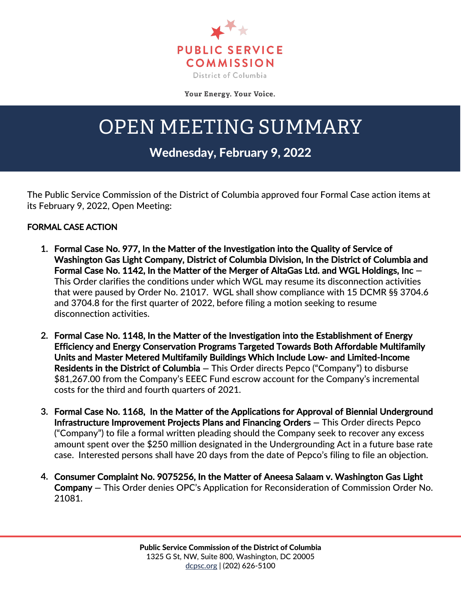

Your Energy. Your Voice.

## OPEN MEETING SUMMARY

## Wednesday, February 9, 2022

The Public Service Commission of the District of Columbia approved four Formal Case action items at its February 9, 2022, Open Meeting:

## FORMAL CASE ACTION

- **1.** Formal Case No. 977, In the Matter of the Investigation into the Quality of Service of Washington Gas Light Company, District of Columbia Division, In the District of Columbia and Formal Case No. 1142, In the Matter of the Merger of AltaGas Ltd. and WGL Holdings, Inc **—** This Order clarifies the conditions under which WGL may resume its disconnection activities that were paused by Order No. 21017. WGL shall show compliance with 15 DCMR §§ 3704.6 and 3704.8 for the first quarter of 2022, before filing a motion seeking to resume disconnection activities.
- **2.** Formal Case No. 1148, In the Matter of the Investigation into the Establishment of Energy Efficiency and Energy Conservation Programs Targeted Towards Both Affordable Multifamily Units and Master Metered Multifamily Buildings Which Include Low- and Limited-Income Residents in the District of Columbia **—** This Order directs Pepco ("Company") to disburse \$81,267.00 from the Company's EEEC Fund escrow account for the Company's incremental costs for the third and fourth quarters of 2021.
- **3.** Formal Case No. 1168, In the Matter of the Applications for Approval of Biennial Underground Infrastructure Improvement Projects Plans and Financing Orders **—** This Order directs Pepco ("Company") to file a formal written pleading should the Company seek to recover any excess amount spent over the \$250 million designated in the Undergrounding Act in a future base rate case. Interested persons shall have 20 days from the date of Pepco's filing to file an objection.
- **4.** Consumer Complaint No. 9075256, In the Matter of Aneesa Salaam v. Washington Gas Light Company **—** This Order denies OPC's Application for Reconsideration of Commission Order No. 21081.